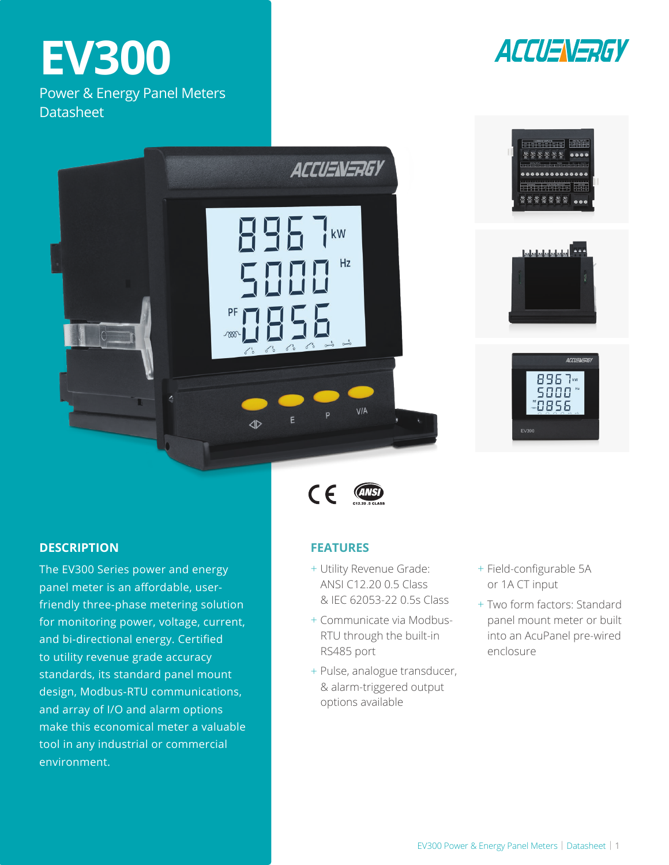# **EV300**

Power & Energy Panel Meters **Datasheet** 









## **DESCRIPTION**

The EV300 Series power and energy panel meter is an affordable, userfriendly three-phase metering solution for monitoring power, voltage, current, and bi-directional energy. Certified to utility revenue grade accuracy standards, its standard panel mount design, Modbus-RTU communications, and array of I/O and alarm options make this economical meter a valuable tool in any industrial or commercial environment.

## $C \in$ **(ANSI)**

## **FEATURES**

- + Utility Revenue Grade: ANSI C12.20 0.5 Class & IEC 62053-22 0.5s Class
- + Communicate via Modbus-RTU through the built-in RS485 port
- + Pulse, analogue transducer, & alarm-triggered output options available
- + Field-configurable 5A or 1A CT input
- + Two form factors: Standard panel mount meter or built into an AcuPanel pre-wired enclosure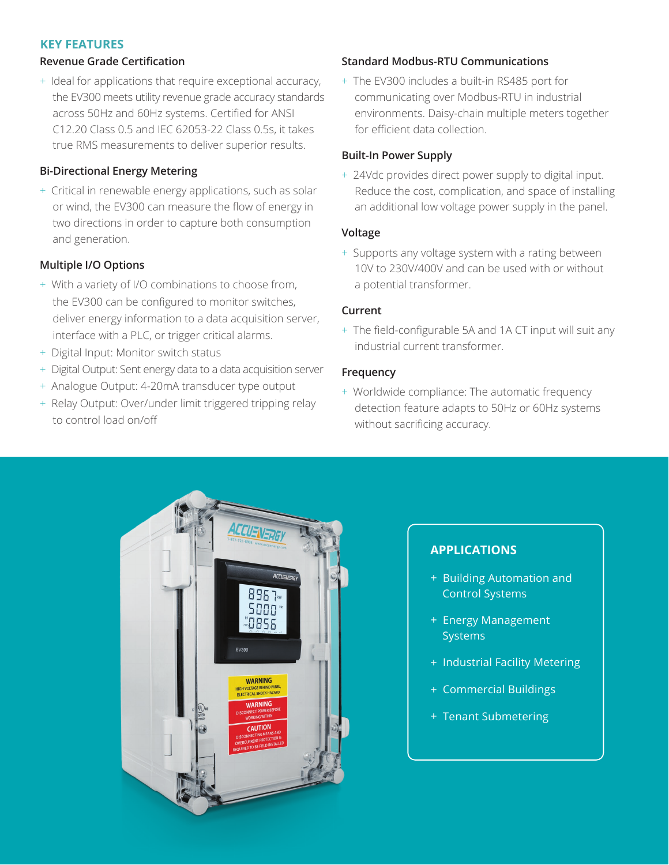## **KEY FEATURES**

## **Revenue Grade Certification**

+ Ideal for applications that require exceptional accuracy, the EV300 meets utility revenue grade accuracy standards across 50Hz and 60Hz systems. Certified for ANSI C12.20 Class 0.5 and IEC 62053-22 Class 0.5s, it takes true RMS measurements to deliver superior results.

## **Bi-Directional Energy Metering**

+ Critical in renewable energy applications, such as solar or wind, the EV300 can measure the flow of energy in two directions in order to capture both consumption and generation.

## **Multiple I/O Options**

- + With a variety of I/O combinations to choose from, the EV300 can be configured to monitor switches, deliver energy information to a data acquisition server, interface with a PLC, or trigger critical alarms.
- + Digital Input: Monitor switch status
- + Digital Output: Sent energy data to a data acquisition server
- + Analogue Output: 4-20mA transducer type output
- + Relay Output: Over/under limit triggered tripping relay to control load on/off

## **Standard Modbus-RTU Communications**

+ The EV300 includes a built-in RS485 port for communicating over Modbus-RTU in industrial environments. Daisy-chain multiple meters together for efficient data collection.

## **Built-In Power Supply**

+ 24Vdc provides direct power supply to digital input. Reduce the cost, complication, and space of installing an additional low voltage power supply in the panel.

## **Voltage**

+ Supports any voltage system with a rating between 10V to 230V/400V and can be used with or without a potential transformer.

## **Current**

+ The field-configurable 5A and 1A CT input will suit any industrial current transformer.

## **Frequency**

+ Worldwide compliance: The automatic frequency detection feature adapts to 50Hz or 60Hz systems without sacrificing accuracy.



## **APPLICATIONS**

- + Building Automation and Control Systems
- + Energy Management **Systems**
- + Industrial Facility Metering
- + Commercial Buildings
- + Tenant Submetering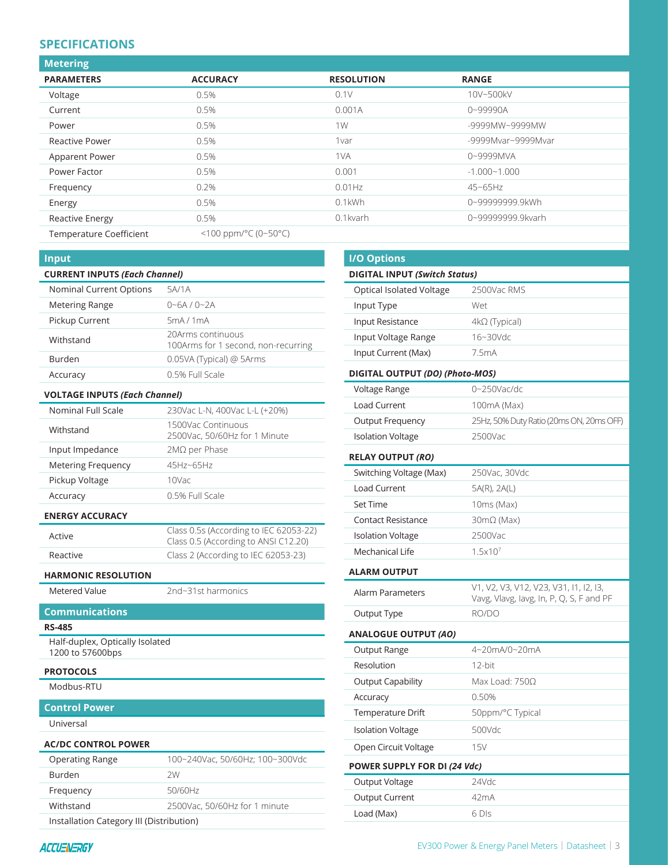## **SPECIFICATIONS**

| <b>Metering</b>                |                                            |                   |                    |  |
|--------------------------------|--------------------------------------------|-------------------|--------------------|--|
| <b>PARAMETERS</b>              | <b>ACCURACY</b>                            | <b>RESOLUTION</b> | <b>RANGE</b>       |  |
| Voltage                        | 0.5%                                       | 0.1V              | 10V~500kV          |  |
| Current                        | 0.5%                                       | 0.001A            | 0~99990A           |  |
| Power                          | 0.5%                                       | 1W                | -9999MW~9999MW     |  |
| <b>Reactive Power</b>          | 0.5%                                       | 1var              | -9999Mvar~9999Mvar |  |
| Apparent Power                 | 0.5%                                       | 1VA               | 0~9999MVA          |  |
| Power Factor                   | 0.5%                                       | 0.001             | $-1.000 - 1.000$   |  |
| Frequency                      | 0.2%                                       | $0.01$ Hz         | $45 - 65$ Hz       |  |
| Energy                         | 0.5%                                       | $0.1$ kWh         | 0~99999999.9kWh    |  |
| <b>Reactive Energy</b>         | 0.5%                                       | 0.1 kvarh         | 0~99999999.9kvarh  |  |
| <b>Temperature Coefficient</b> | <100 ppm/ $^{\circ}$ C (0~50 $^{\circ}$ C) |                   |                    |  |

#### **Input**

| <b>CURRENT INPUTS (Each Channel)</b> |                                                           |  |  |
|--------------------------------------|-----------------------------------------------------------|--|--|
| Nominal Current Options              | 5A/1A                                                     |  |  |
| <b>Metering Range</b>                | $0 - 6A / 0 - 2A$                                         |  |  |
| Pickup Current                       | 5mA/1mA                                                   |  |  |
| Withstand                            | 20 Arms continuous<br>100Arms for 1 second, non-recurring |  |  |
| <b>Burden</b>                        | 0.05VA (Typical) @ 5Arms                                  |  |  |
| Accuracy                             | 0.5% Full Scale                                           |  |  |

#### **VOLTAGE INPUTS** *(Each Channel)*

| Nominal Full Scale        | 230Vac L-N, 400Vac L-L (+20%)                       |  |
|---------------------------|-----------------------------------------------------|--|
| Withstand                 | 1500Vac Continuous<br>2500Vac, 50/60Hz for 1 Minute |  |
| Input Impedance           | $2M\Omega$ per Phase                                |  |
| <b>Metering Frequency</b> | 45Hz~65Hz                                           |  |
| Pickup Voltage            | 10Vac                                               |  |
| Accuracy                  | 0.5% Full Scale                                     |  |
|                           |                                                     |  |

#### **ENERGY ACCURACY**

| Active   | Class 0.5s (According to IEC 62053-22)<br>Class 0.5 (According to ANSI C12.20) |
|----------|--------------------------------------------------------------------------------|
| Reactive | Class 2 (According to IEC 62053-23)                                            |

#### **HARMONIC RESOLUTION**

Metered Value 2nd~31st harmonics

## **Communications**

**RS-485**

Half-duplex, Optically Isolated 1200 to 57600bps

#### **PROTOCOLS**

Modbus-RTU

#### **Control Power**

Universal

### **AC/DC CONTROL POWER**

| <b>Operating Range</b>                   | 100~240Vac, 50/60Hz; 100~300Vdc |  |
|------------------------------------------|---------------------------------|--|
| <b>Burden</b>                            | 2W                              |  |
| Frequency                                | 50/60Hz                         |  |
| Withstand                                | 2500Vac. 50/60Hz for 1 minute   |  |
| Installation Category III (Distribution) |                                 |  |

| <b>I/O Options</b>                   |                                                                                    |
|--------------------------------------|------------------------------------------------------------------------------------|
| <b>DIGITAL INPUT (Switch Status)</b> |                                                                                    |
| Optical Isolated Voltage             | 2500Vac RMS                                                                        |
| Input Type                           | Wet                                                                                |
| Input Resistance                     | $4k\Omega$ (Typical)                                                               |
| Input Voltage Range                  | 16~30Vdc                                                                           |
| Input Current (Max)                  | 7.5mA                                                                              |
| DIGITAL OUTPUT (DO) (Photo-MOS)      |                                                                                    |
| Voltage Range                        | $0 - 250$ Vac/dc                                                                   |
| <b>Load Current</b>                  | 100mA (Max)                                                                        |
| Output Frequency                     | 25Hz, 50% Duty Ratio (20ms ON, 20ms OFF)                                           |
| <b>Isolation Voltage</b>             | 2500Vac                                                                            |
| <b>RELAY OUTPUT (RO)</b>             |                                                                                    |
| Switching Voltage (Max)              | 250Vac, 30Vdc                                                                      |
| <b>Load Current</b>                  | 5A(R), 2A(L)                                                                       |
| <b>Set Time</b>                      | 10ms (Max)                                                                         |
| <b>Contact Resistance</b>            | $30 \text{m}\Omega$ (Max)                                                          |
| <b>Isolation Voltage</b>             | 2500Vac                                                                            |
| Mechanical Life                      | 1.5x10 <sup>7</sup>                                                                |
| <b>ALARM OUTPUT</b>                  |                                                                                    |
| Alarm Parameters                     | V1, V2, V3, V12, V23, V31, I1, I2, I3,<br>Vavg, Vlavg, Iavg, In, P, Q, S, F and PF |
| Output Type                          | RO/DO                                                                              |
| <b>ANALOGUE OUTPUT (AO)</b>          |                                                                                    |
| Output Range                         | 4~20mA/0~20mA                                                                      |
| Resolution                           | 12-bit                                                                             |
| <b>Output Capability</b>             | Max Load: $750\Omega$                                                              |
| Accuracy                             | 0.50%                                                                              |
| <b>Temperature Drift</b>             | 50ppm/°C Typical                                                                   |
| <b>Isolation Voltage</b>             | 500Vdc                                                                             |
| Open Circuit Voltage                 | 15V                                                                                |
| POWER SUPPLY FOR DI (24 Vdc)         |                                                                                    |
| Output Voltage                       | 24Vdc                                                                              |
| Output Current                       | 42mA                                                                               |
| Load (Max)                           | 6 DIs                                                                              |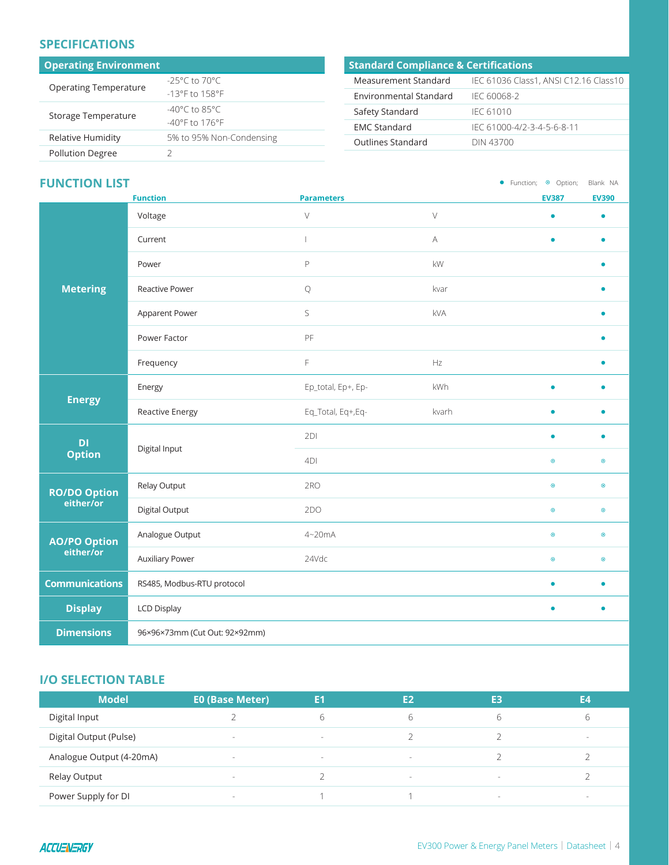## **SPECIFICATIONS**

| <b>Operating Environment</b> | <b>Standar</b>                     |                |
|------------------------------|------------------------------------|----------------|
| <b>Operating Temperature</b> | $-25^{\circ}$ C to 70 $^{\circ}$ C | Measure        |
|                              | $-13^{\circ}$ F to $158^{\circ}$ F | Environi       |
| Storage Temperature          | $-40^{\circ}$ C to 85°C            | Safety S       |
|                              | $-40^{\circ}$ F to 176°F           | <b>EMC Sta</b> |
| Relative Humidity            | 5% to 95% Non-Condensing           | Outlines       |
| <b>Pollution Degree</b>      |                                    |                |

## **Standard Compliance & Certifications** ement Standard IEC 61036 Class1, ANSI C12.16 Class10

| Environmental Standard | IFC 60068-2                |
|------------------------|----------------------------|
| Safety Standard        | IFC 61010                  |
| <b>FMC Standard</b>    | IFC 61000-4/2-3-4-5-6-8-11 |
| Outlines Standard      | DIN 43700                  |

## **FUNCTION LIST**

• Function; © Option; Blank NA

|                       | <b>Function</b>                 | <b>Parameters</b>  |           | <b>EV387</b> | <b>EV390</b> |
|-----------------------|---------------------------------|--------------------|-----------|--------------|--------------|
|                       | Voltage                         | $\vee$             | $\vee$    | $\bullet$    |              |
|                       | Current                         |                    | A         | $\bullet$    |              |
|                       | Power                           | $\mathsf P$        | kW        |              |              |
| <b>Metering</b>       | Reactive Power                  | $\mathsf Q$        | kvar      |              |              |
|                       | Apparent Power                  | S                  | kVA       |              |              |
|                       | Power Factor                    | PF                 |           |              |              |
|                       | Frequency                       | F                  | Hz        |              |              |
| <b>Energy</b>         | Energy                          | Ep_total, Ep+, Ep- | kWh       | $\bullet$    |              |
|                       | Reactive Energy                 | Eq_Total, Eq+,Eq-  | kvarh     | $\bullet$    |              |
| DI                    | Digital Input                   | 2DI                |           | $\bullet$    | $\bullet$    |
| <b>Option</b>         |                                 | 4DI                |           | $\odot$      | $\bullet$    |
| <b>RO/DO Option</b>   | Relay Output                    | 2RO                |           | $\odot$      | $\odot$      |
| either/or             | Digital Output                  | 2DO                |           | $\odot$      | $\odot$      |
| <b>AO/PO Option</b>   | Analogue Output                 | 4~20mA             |           | $\odot$      | $\odot$      |
| either/or             | <b>Auxiliary Power</b>          | 24Vdc              |           | $\odot$      | $\odot$      |
| <b>Communications</b> | RS485, Modbus-RTU protocol      |                    | $\bullet$ | $\bullet$    |              |
| <b>Display</b>        | <b>LCD Display</b><br>$\bullet$ |                    | $\bullet$ |              |              |
| <b>Dimensions</b>     | 96×96×73mm (Cut Out: 92×92mm)   |                    |           |              |              |

## **I/O SELECTION TABLE**

| <b>Model</b>             | <b>EO (Base Meter)</b> | E1     | E <sub>2</sub> | E3                       | E4     |
|--------------------------|------------------------|--------|----------------|--------------------------|--------|
| Digital Input            |                        |        |                |                          | ь      |
| Digital Output (Pulse)   | $\sim$                 | $\sim$ |                |                          | $\sim$ |
| Analogue Output (4-20mA) | $\sim$                 | $\sim$ | $\sim$         |                          |        |
| Relay Output             | $\sim$                 |        | $\sim$         | $\overline{\phantom{a}}$ |        |
| Power Supply for DI      | $\sim$                 |        |                | -                        | $\sim$ |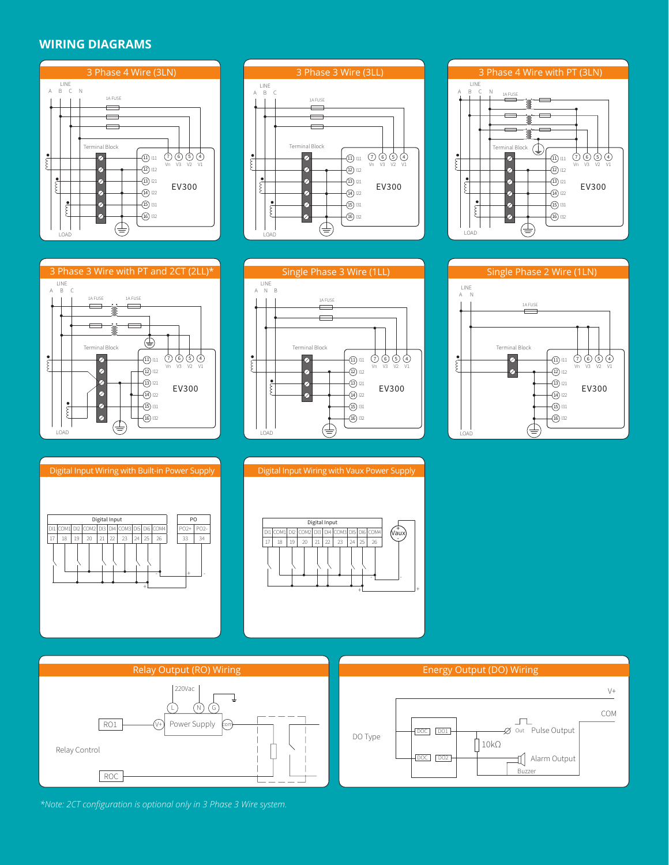## **WIRING DIAGRAMS**

















220Vac ┹ L N G Power Supply RO1 V+ com Relay Control ROC



*\*Note: 2CT configuration is optional only in 3 Phase 3 Wire system.*